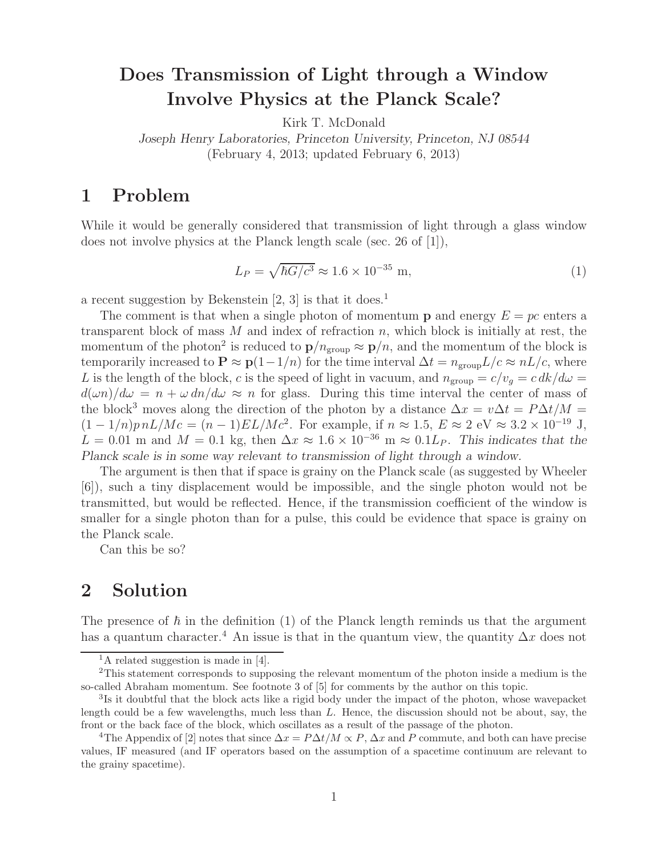## **Does Transmission of Light through a Window Involve Physics at the Planck Scale?**

Kirk T. McDonald

*Joseph Henry Laboratories, Princeton University, Princeton, NJ 08544* (February 4, 2013; updated February 6, 2013)

## **1 Problem**

While it would be generally considered that transmission of light through a glass window does not involve physics at the Planck length scale (sec. 26 of [1]),

$$
L_P = \sqrt{\hbar G/c^3} \approx 1.6 \times 10^{-35} \text{ m},\tag{1}
$$

a recent suggestion by Bekenstein  $[2, 3]$  is that it does.<sup>1</sup>

The comment is that when a single photon of momentum **p** and energy  $E = pc$  enters a transparent block of mass  $M$  and index of refraction  $n$ , which block is initially at rest, the momentum of the photon<sup>2</sup> is reduced to  $p/n_{\text{group}} \approx p/n$ , and the momentum of the block is temporarily increased to  $\mathbf{P} \approx \mathbf{p}(1-1/n)$  for the time interval  $\Delta t = n_{\text{group}}L/c \approx nL/c$ , where L is the length of the block, c is the speed of light in vacuum, and  $n_{\text{group}} = c/v_q = c \frac{dk}{d\omega}$  $d(\omega n)/d\omega = n + \omega \, dn/d\omega \approx n$  for glass. During this time interval the center of mass of the block<sup>3</sup> moves along the direction of the photon by a distance  $\Delta x = v \Delta t = P \Delta t / M$  $(1 - 1/n)p nL/Mc = (n - 1)EL/Mc^2$ . For example, if  $n \approx 1.5$ ,  $E \approx 2$  eV  $\approx 3.2 \times 10^{-19}$  J,  $L = 0.01$  m and  $M = 0.1$  kg, then  $\Delta x \approx 1.6 \times 10^{-36}$  m  $\approx 0.1 L_P$ . This indicates that the *Planck scale is in some way relevant to transmission of light through a window.*

The argument is then that if space is grainy on the Planck scale (as suggested by Wheeler [6]), such a tiny displacement would be impossible, and the single photon would not be transmitted, but would be reflected. Hence, if the transmission coefficient of the window is smaller for a single photon than for a pulse, this could be evidence that space is grainy on the Planck scale.

Can this be so?

## **2 Solution**

The presence of  $\hbar$  in the definition (1) of the Planck length reminds us that the argument has a quantum character.<sup>4</sup> An issue is that in the quantum view, the quantity  $\Delta x$  does not

<sup>&</sup>lt;sup>1</sup>A related suggestion is made in [4].

<sup>2</sup>This statement corresponds to supposing the relevant momentum of the photon inside a medium is the so-called Abraham momentum. See footnote 3 of [5] for comments by the author on this topic.

<sup>&</sup>lt;sup>3</sup>Is it doubtful that the block acts like a rigid body under the impact of the photon, whose wavepacket length could be a few wavelengths, much less than *L*. Hence, the discussion should not be about, say, the front or the back face of the block, which oscillates as a result of the passage of the photon.

<sup>&</sup>lt;sup>4</sup>The Appendix of [2] notes that since  $\Delta x = P \Delta t / M \propto P$ ,  $\Delta x$  and P commute, and both can have precise values, IF measured (and IF operators based on the assumption of a spacetime continuum are relevant to the grainy spacetime).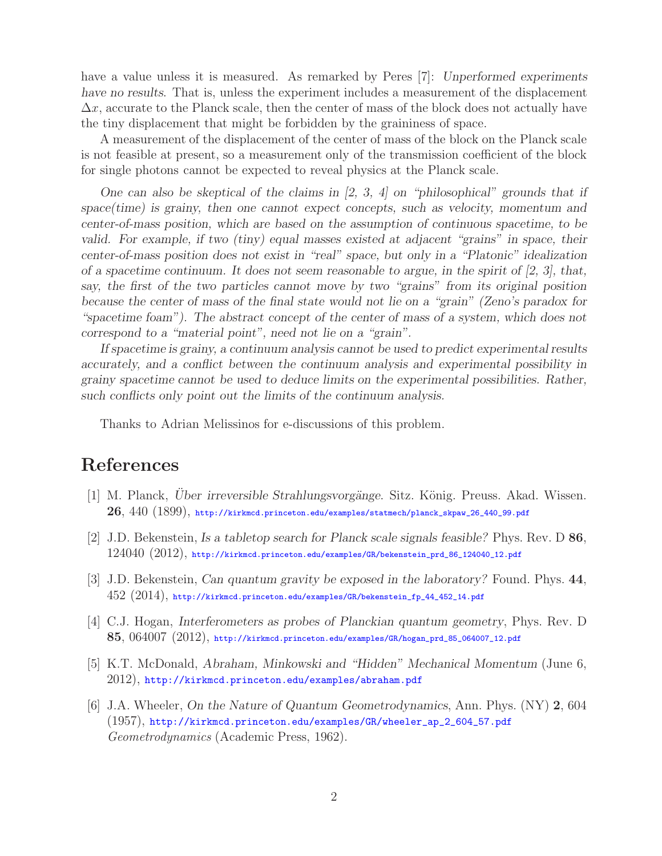have a value unless it is measured. As remarked by Peres [7]: *Unperformed experiments have no results*. That is, unless the experiment includes a measurement of the displacement  $\Delta x$ , accurate to the Planck scale, then the center of mass of the block does not actually have the tiny displacement that might be forbidden by the graininess of space.

A measurement of the displacement of the center of mass of the block on the Planck scale is not feasible at present, so a measurement only of the transmission coefficient of the block for single photons cannot be expected to reveal physics at the Planck scale.

*One can also be skeptical of the claims in [2, 3, 4] on "philosophical" grounds that if space(time) is grainy, then one cannot expect concepts, such as velocity, momentum and center-of-mass position, which are based on the assumption of continuous spacetime, to be valid. For example, if two (tiny) equal masses existed at adjacent "grains" in space, their center-of-mass position does not exist in "real" space, but only in a "Platonic" idealization of a spacetime continuum. It does not seem reasonable to argue, in the spirit of [2, 3], that, say, the first of the two particles cannot move by two "grains" from its original position because the center of mass of the final state would not lie on a "grain" (Zeno's paradox for "spacetime foam"). The abstract concept of the center of mass of a system, which does not correspond to a "material point", need not lie on a "grain".*

*If spacetime is grainy, a continuum analysis cannot be used to predict experimental results accurately, and a conflict between the continuum analysis and experimental possibility in grainy spacetime cannot be used to deduce limits on the experimental possibilities. Rather, such conflicts only point out the limits of the continuum analysis.*

Thanks to Adrian Melissinos for e-discussions of this problem.

## **References**

- [1] M. Planck, *Über irreversible Strahlungsvorgänge*. Sitz. König. Preuss. Akad. Wissen. **26**, 440 (1899), http://kirkmcd.princeton.edu/examples/statmech/planck\_skpaw\_26\_440\_99.pdf
- [2] J.D. Bekenstein, *Is a tabletop search for Planck scale signals feasible?* Phys. Rev. D **86**, 124040 (2012), http://kirkmcd.princeton.edu/examples/GR/bekenstein\_prd\_86\_124040\_12.pdf
- [3] J.D. Bekenstein, *Can quantum gravity be exposed in the laboratory?* Found. Phys. **44**, 452 (2014), http://kirkmcd.princeton.edu/examples/GR/bekenstein\_fp\_44\_452\_14.pdf
- [4] C.J. Hogan, *Interferometers as probes of Planckian quantum geometry*, Phys. Rev. D **85**, 064007 (2012), http://kirkmcd.princeton.edu/examples/GR/hogan\_prd\_85\_064007\_12.pdf
- [5] K.T. McDonald, *Abraham, Minkowski and "Hidden" Mechanical Momentum* (June 6,  $2012$ , http://kirkmcd.princeton.edu/examples/abraham.pdf
- [6] J.A. Wheeler, *On the Nature of Quantum Geometrodynamics*, Ann. Phys. (NY) **2**, 604 (1957), http://kirkmcd.princeton.edu/examples/GR/wheeler\_ap\_2\_604\_57.pdf *Geometrodynamics* (Academic Press, 1962).